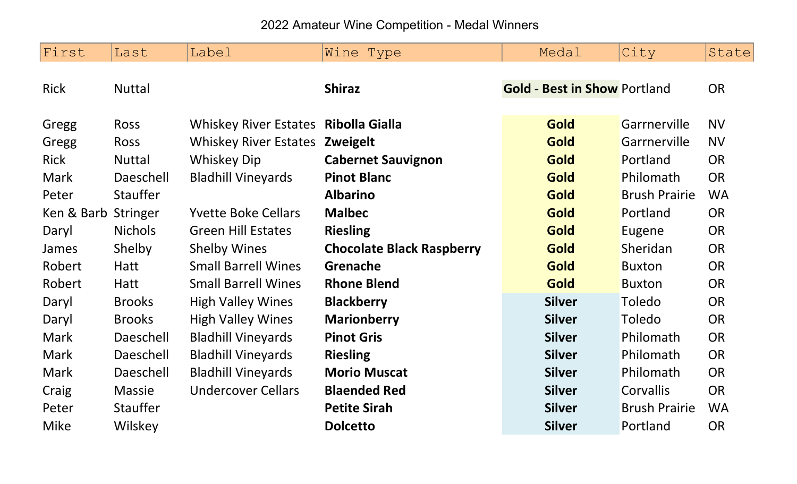2022 Amateur Wine Competition - Medal Winners

| First       | Last            | Label                                | Wine Type                        | Medal                               | City                 | State     |
|-------------|-----------------|--------------------------------------|----------------------------------|-------------------------------------|----------------------|-----------|
| <b>Rick</b> | <b>Nuttal</b>   |                                      | <b>Shiraz</b>                    | <b>Gold - Best in Show Portland</b> |                      | <b>OR</b> |
| Gregg       | Ross            | Whiskey River Estates Ribolla Gialla |                                  | Gold                                | Garrnerville         | <b>NV</b> |
| Gregg       | Ross            | <b>Whiskey River Estates</b>         | <b>Zweigelt</b>                  | Gold                                | Garrnerville         | <b>NV</b> |
| <b>Rick</b> | <b>Nuttal</b>   | <b>Whiskey Dip</b>                   | <b>Cabernet Sauvignon</b>        | <b>Gold</b>                         | Portland             | <b>OR</b> |
| <b>Mark</b> | Daeschell       | <b>Bladhill Vineyards</b>            | <b>Pinot Blanc</b>               | Gold                                | Philomath            | <b>OR</b> |
| Peter       | <b>Stauffer</b> |                                      | <b>Albarino</b>                  | <b>Gold</b>                         | <b>Brush Prairie</b> | <b>WA</b> |
| Ken & Barb  | Stringer        | <b>Yvette Boke Cellars</b>           | <b>Malbec</b>                    | Gold                                | Portland             | <b>OR</b> |
| Daryl       | <b>Nichols</b>  | <b>Green Hill Estates</b>            | <b>Riesling</b>                  | <b>Gold</b>                         | Eugene               | <b>OR</b> |
| James       | Shelby          | <b>Shelby Wines</b>                  | <b>Chocolate Black Raspberry</b> | Gold                                | Sheridan             | <b>OR</b> |
| Robert      | <b>Hatt</b>     | <b>Small Barrell Wines</b>           | Grenache                         | Gold                                | <b>Buxton</b>        | <b>OR</b> |
| Robert      | <b>Hatt</b>     | <b>Small Barrell Wines</b>           | <b>Rhone Blend</b>               | <b>Gold</b>                         | <b>Buxton</b>        | <b>OR</b> |
| Daryl       | <b>Brooks</b>   | <b>High Valley Wines</b>             | <b>Blackberry</b>                | <b>Silver</b>                       | Toledo               | <b>OR</b> |
| Daryl       | <b>Brooks</b>   | <b>High Valley Wines</b>             | <b>Marionberry</b>               | <b>Silver</b>                       | Toledo               | <b>OR</b> |
| Mark        | Daeschell       | <b>Bladhill Vineyards</b>            | <b>Pinot Gris</b>                | <b>Silver</b>                       | Philomath            | <b>OR</b> |
| <b>Mark</b> | Daeschell       | <b>Bladhill Vineyards</b>            | <b>Riesling</b>                  | <b>Silver</b>                       | Philomath            | <b>OR</b> |
| <b>Mark</b> | Daeschell       | <b>Bladhill Vineyards</b>            | <b>Morio Muscat</b>              | <b>Silver</b>                       | Philomath            | <b>OR</b> |
| Craig       | <b>Massie</b>   | <b>Undercover Cellars</b>            | <b>Blaended Red</b>              | <b>Silver</b>                       | Corvallis            | <b>OR</b> |
| Peter       | Stauffer        |                                      | <b>Petite Sirah</b>              | <b>Silver</b>                       | <b>Brush Prairie</b> | <b>WA</b> |
| <b>Mike</b> | Wilskey         |                                      | <b>Dolcetto</b>                  | <b>Silver</b>                       | Portland             | <b>OR</b> |